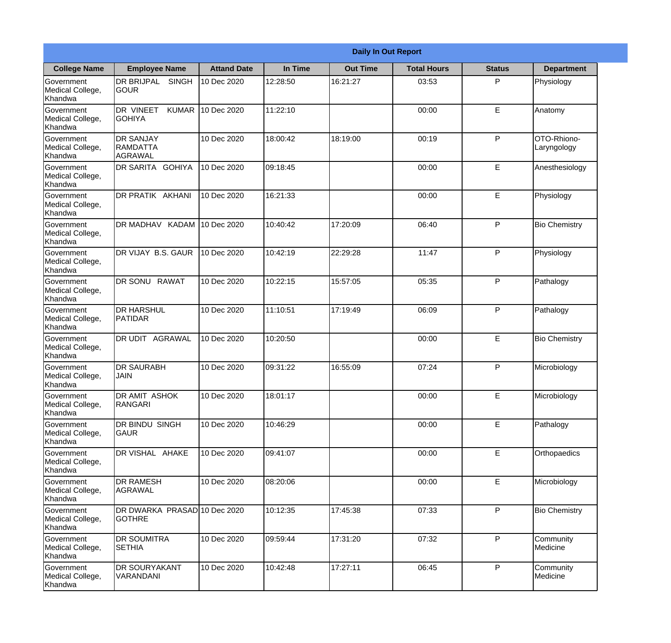|                                                  | <b>Daily In Out Report</b>                        |                    |          |                 |                    |               |                            |  |
|--------------------------------------------------|---------------------------------------------------|--------------------|----------|-----------------|--------------------|---------------|----------------------------|--|
| <b>College Name</b>                              | <b>Employee Name</b>                              | <b>Attand Date</b> | In Time  | <b>Out Time</b> | <b>Total Hours</b> | <b>Status</b> | <b>Department</b>          |  |
| Government<br>Medical College,<br>Khandwa        | <b>DR BRIJPAL</b><br><b>SINGH</b><br> GOUR        | 10 Dec 2020        | 12:28:50 | 16:21:27        | 03:53              | P             | Physiology                 |  |
| Government<br>Medical College,<br>Khandwa        | <b>DR VINEET</b><br><b>KUMAR</b><br><b>GOHIYA</b> | 10 Dec 2020        | 11:22:10 |                 | 00:00              | E             | Anatomy                    |  |
| <b>Government</b><br>Medical College,<br>Khandwa | <b>IDR SANJAY</b><br><b>RAMDATTA</b><br>AGRAWAL   | 10 Dec 2020        | 18:00:42 | 18:19:00        | 00:19              | P             | OTO-Rhiono-<br>Laryngology |  |
| Government<br>Medical College,<br>Khandwa        | <b>DR SARITA GOHIYA</b>                           | 10 Dec 2020        | 09:18:45 |                 | 00:00              | E             | Anesthesiology             |  |
| Government<br>Medical College,<br>Khandwa        | <b>DR PRATIK AKHANI</b>                           | 10 Dec 2020        | 16:21:33 |                 | 00:00              | E             | Physiology                 |  |
| Government<br>Medical College,<br>Khandwa        | DR MADHAV KADAM                                   | 10 Dec 2020        | 10:40:42 | 17:20:09        | 06:40              | P             | <b>Bio Chemistry</b>       |  |
| Government<br>Medical College,<br>Khandwa        | DR VIJAY B.S. GAUR                                | 10 Dec 2020        | 10:42:19 | 22:29:28        | 11:47              | P             | Physiology                 |  |
| Government<br>Medical College,<br>Khandwa        | DR SONU RAWAT                                     | 10 Dec 2020        | 10:22:15 | 15:57:05        | 05:35              | P             | Pathalogy                  |  |
| Government<br>Medical College,<br>Khandwa        | <b>DR HARSHUL</b><br>PATIDAR                      | 10 Dec 2020        | 11:10:51 | 17:19:49        | 06:09              | P             | Pathalogy                  |  |
| Government<br>Medical College,<br>Khandwa        | DR UDIT<br><b>AGRAWAL</b>                         | 10 Dec 2020        | 10:20:50 |                 | 00:00              | E             | <b>Bio Chemistry</b>       |  |
| Government<br>Medical College,<br>Khandwa        | <b>IDR SAURABH</b><br><b>JAIN</b>                 | 10 Dec 2020        | 09:31:22 | 16:55:09        | 07:24              | $\mathsf{P}$  | Microbiology               |  |
| Government<br>Medical College,<br>Khandwa        | <b>DR AMIT ASHOK</b><br>RANGARI                   | 10 Dec 2020        | 18:01:17 |                 | 00:00              | E             | Microbiology               |  |
| Government<br>Medical College,<br>Khandwa        | DR BINDU SINGH<br><b>GAUR</b>                     | 10 Dec 2020        | 10:46:29 |                 | 00:00              | E             | Pathalogy                  |  |
| Government<br>Medical College,<br>Khandwa        | DR VISHAL AHAKE                                   | 10 Dec 2020        | 09:41:07 |                 | 00:00              | E             | Orthopaedics               |  |
| Government<br>Medical College,<br>Khandwa        | <b>DR RAMESH</b><br>AGRAWAL                       | 10 Dec 2020        | 08:20:06 |                 | 00:00              | E             | Microbiology               |  |
| Government<br>Medical College,<br>Khandwa        | DR DWARKA PRASAD 10 Dec 2020<br><b>GOTHRE</b>     |                    | 10:12:35 | 17:45:38        | 07:33              | $\mathsf{P}$  | <b>Bio Chemistry</b>       |  |
| Government<br>Medical College,<br>Khandwa        | <b>DR SOUMITRA</b><br><b>SETHIA</b>               | 10 Dec 2020        | 09:59:44 | 17:31:20        | 07:32              | P             | Community<br>Medicine      |  |
| Government<br>Medical College,<br>Khandwa        | <b>DR SOURYAKANT</b><br>VARANDANI                 | 10 Dec 2020        | 10:42:48 | 17:27:11        | 06:45              | P             | Community<br>Medicine      |  |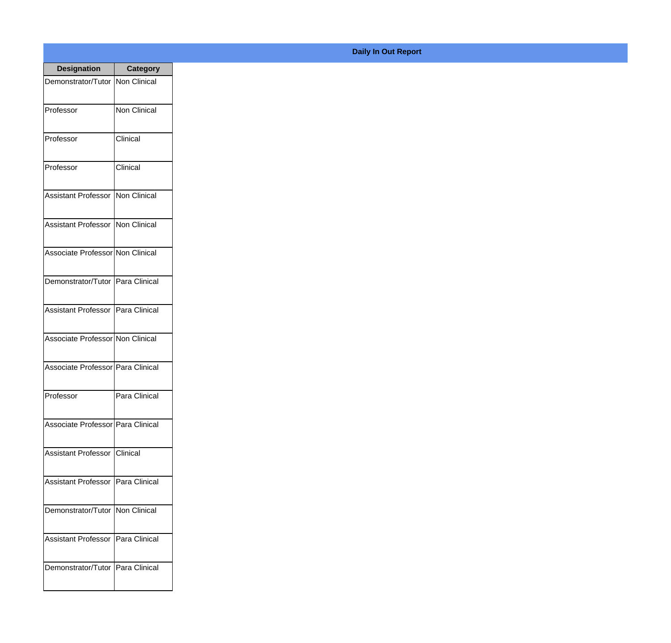| <b>Designation</b>                         | <b>Category</b>     |
|--------------------------------------------|---------------------|
| Demonstrator/Tutor   Non Clinical          |                     |
| Professor                                  | <b>Non Clinical</b> |
| Professor                                  | Clinical            |
| Professor                                  | Clinical            |
| Assistant Professor   Non Clinical         |                     |
| Assistant Professor   Non Clinical         |                     |
| Associate Professor Non Clinical           |                     |
| Demonstrator/Tutor   Para Clinical         |                     |
| Assistant Professor   Para Clinical        |                     |
| Associate Professor Non Clinical           |                     |
| Associate Professor   Para Clinical        |                     |
| Professor                                  | Para Clinical       |
| Associate Professor   Para Clinical        |                     |
| <b>Assistant Professor   Clinical</b>      |                     |
| <b>Assistant Professor   Para Clinical</b> |                     |
| Demonstrator/Tutor   Non Clinical          |                     |
| Assistant Professor                        | Para Clinical       |
| Demonstrator/Tutor   Para Clinical         |                     |
|                                            |                     |

## **Daily In Out Report**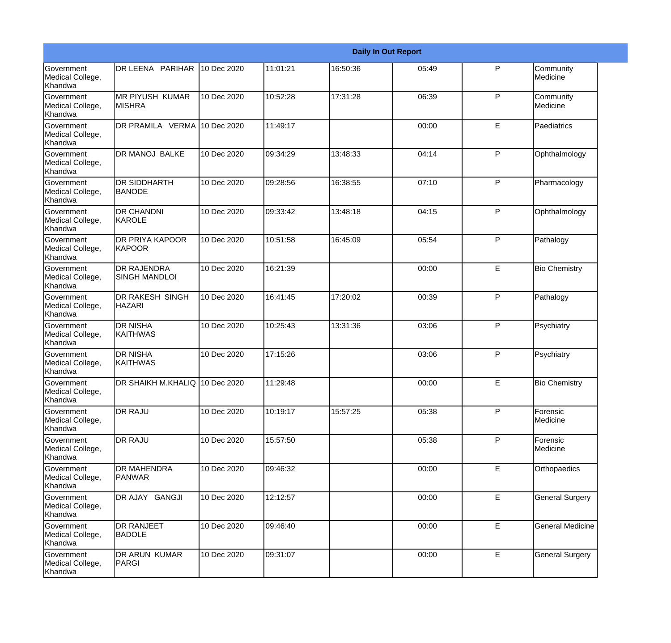|                                                  |                                            | <b>Daily In Out Report</b> |          |          |       |              |                         |  |
|--------------------------------------------------|--------------------------------------------|----------------------------|----------|----------|-------|--------------|-------------------------|--|
| <b>Government</b><br>Medical College,<br>Khandwa | DR LEENA PARIHAR                           | 10 Dec 2020                | 11:01:21 | 16:50:36 | 05:49 | P            | Community<br>Medicine   |  |
| Government<br>Medical College,<br>Khandwa        | <b>MR PIYUSH KUMAR</b><br><b>MISHRA</b>    | 10 Dec 2020                | 10:52:28 | 17:31:28 | 06:39 | $\mathsf{P}$ | Community<br>Medicine   |  |
| <b>Government</b><br>Medical College,<br>Khandwa | DR PRAMILA VERMA 10 Dec 2020               |                            | 11:49:17 |          | 00:00 | E            | Paediatrics             |  |
| <b>Government</b><br>Medical College,<br>Khandwa | <b>DR MANOJ BALKE</b>                      | 10 Dec 2020                | 09:34:29 | 13:48:33 | 04:14 | $\mathsf{P}$ | Ophthalmology           |  |
| Government<br>Medical College,<br>Khandwa        | DR SIDDHARTH<br><b>BANODE</b>              | 10 Dec 2020                | 09:28:56 | 16:38:55 | 07:10 | P            | Pharmacology            |  |
| Government<br>Medical College,<br>Khandwa        | <b>DR CHANDNI</b><br>KAROLE                | 10 Dec 2020                | 09:33:42 | 13:48:18 | 04:15 | $\mathsf{P}$ | Ophthalmology           |  |
| Government<br>Medical College,<br>Khandwa        | <b>DR PRIYA KAPOOR</b><br>KAPOOR           | 10 Dec 2020                | 10:51:58 | 16:45:09 | 05:54 | $\mathsf{P}$ | Pathalogy               |  |
| Government<br>Medical College,<br>Khandwa        | <b>DR RAJENDRA</b><br><b>SINGH MANDLOI</b> | 10 Dec 2020                | 16:21:39 |          | 00:00 | E            | <b>Bio Chemistry</b>    |  |
| Government<br>Medical College,<br>Khandwa        | DR RAKESH SINGH<br><b>HAZARI</b>           | 10 Dec 2020                | 16:41:45 | 17:20:02 | 00:39 | P            | Pathalogy               |  |
| <b>Government</b><br>Medical College,<br>Khandwa | <b>DR NISHA</b><br> KAITHWAS               | 10 Dec 2020                | 10:25:43 | 13:31:36 | 03:06 | $\mathsf{P}$ | Psychiatry              |  |
| Government<br>Medical College,<br>Khandwa        | <b>DR NISHA</b><br><b>KAITHWAS</b>         | 10 Dec 2020                | 17:15:26 |          | 03:06 | $\mathsf{P}$ | Psychiatry              |  |
| Government<br>Medical College,<br>Khandwa        | DR SHAIKH M.KHALIQ 10 Dec 2020             |                            | 11:29:48 |          | 00:00 | E            | <b>Bio Chemistry</b>    |  |
| Government<br>Medical College,<br>Khandwa        | DR RAJU                                    | 10 Dec 2020                | 10:19:17 | 15:57:25 | 05:38 | P            | Forensic<br>Medicine    |  |
| Government<br>Medical College,<br>Khandwa        | <b>DR RAJU</b>                             | 10 Dec 2020                | 15:57:50 |          | 05:38 | P            | Forensic<br>Medicine    |  |
| Government<br>Medical College,<br>Khandwa        | <b>DR MAHENDRA</b><br><b>PANWAR</b>        | 10 Dec 2020                | 09:46:32 |          | 00:00 | E            | Orthopaedics            |  |
| Government<br>Medical College,<br>Khandwa        | DR AJAY GANGJI                             | 10 Dec 2020                | 12:12:57 |          | 00:00 | E            | <b>General Surgery</b>  |  |
| Government<br>Medical College,<br>Khandwa        | DR RANJEET<br><b>BADOLE</b>                | 10 Dec 2020                | 09:46:40 |          | 00:00 | E            | <b>General Medicine</b> |  |
| Government<br>Medical College,<br>Khandwa        | DR ARUN KUMAR<br>PARGI                     | 10 Dec 2020                | 09:31:07 |          | 00:00 | E            | <b>General Surgery</b>  |  |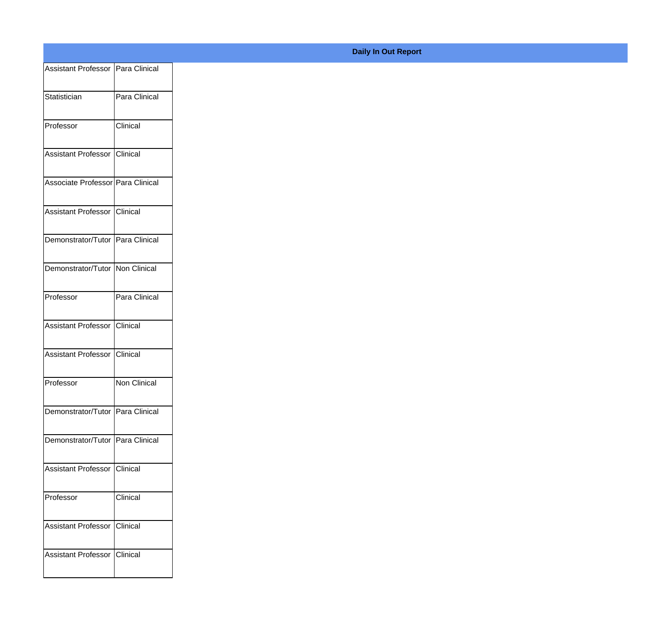| Assistant Professor Para Clinical |               |
|-----------------------------------|---------------|
| Statistician                      | Para Clinical |
|                                   |               |
| Professor                         | Clinical      |
| Assistant Professor Clinical      |               |
|                                   |               |
| Associate Professor Para Clinical |               |
| Assistant Professor Clinical      |               |
| Demonstrator/Tutor Para Clinical  |               |
|                                   |               |
| Demonstrator/Tutor Non Clinical   |               |
| Professor                         | Para Clinical |
|                                   |               |
| Assistant Professor Clinical      |               |
| Assistant Professor Clinical      |               |
| Professor                         | Non Clinical  |
|                                   |               |
| Demonstrator/Tutor Para Clinical  |               |
| Demonstrator/Tutor Para Clinical  |               |
|                                   |               |
| Assistant Professor Clinical      |               |
| Professor                         | Clinical      |
| Assistant Professor Clinical      |               |
|                                   |               |
| Assistant Professor   Clinical    |               |
|                                   |               |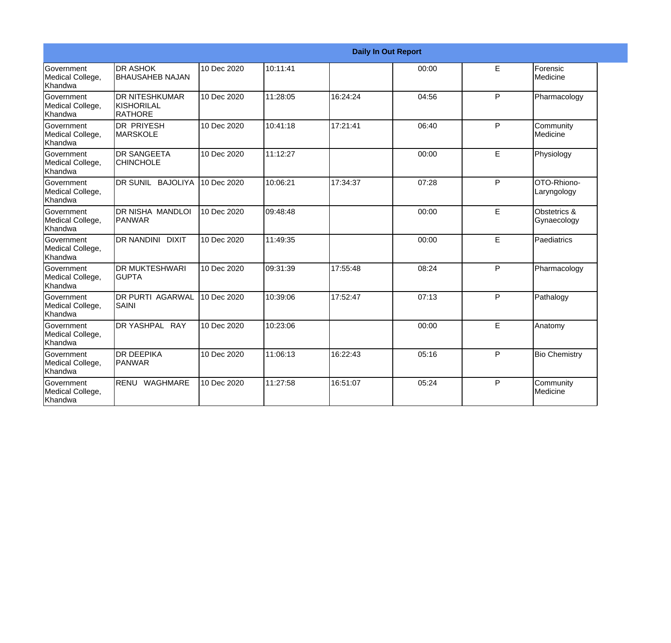|                                                         | <b>Daily In Out Report</b>                      |             |          |          |       |    |                             |  |  |
|---------------------------------------------------------|-------------------------------------------------|-------------|----------|----------|-------|----|-----------------------------|--|--|
| Government<br>Medical College,<br>Khandwa               | <b>DR ASHOK</b><br><b>BHAUSAHEB NAJAN</b>       | 10 Dec 2020 | 10:11:41 |          | 00:00 | E  | Forensic<br>Medicine        |  |  |
| <b>Government</b><br>Medical College,<br><b>Khandwa</b> | <b>DR NITESHKUMAR</b><br>KISHORILAL<br>IRATHORE | 10 Dec 2020 | 11:28:05 | 16:24:24 | 04:56 | P  | Pharmacology                |  |  |
| <b>Government</b><br>Medical College,<br>Khandwa        | IDR PRIYESH<br><b>MARSKOLE</b>                  | 10 Dec 2020 | 10:41:18 | 17:21:41 | 06:40 | P  | Community<br>Medicine       |  |  |
| <b>Government</b><br>Medical College,<br><b>Khandwa</b> | <b>DR SANGEETA</b><br><b>CHINCHOLE</b>          | 10 Dec 2020 | 11:12:27 |          | 00:00 | E. | Physiology                  |  |  |
| <b>Government</b><br>Medical College,<br><b>Khandwa</b> | DR SUNIL BAJOLIYA                               | 10 Dec 2020 | 10:06:21 | 17:34:37 | 07:28 | P  | OTO-Rhiono-<br>Laryngology  |  |  |
| Government<br>Medical College,<br>Khandwa               | DR NISHA MANDLOI<br><b>PANWAR</b>               | 10 Dec 2020 | 09:48:48 |          | 00:00 | E  | Obstetrics &<br>Gynaecology |  |  |
| Government<br>Medical College,<br><b>Khandwa</b>        | <b>DR NANDINI</b><br><b>DIXIT</b>               | 10 Dec 2020 | 11:49:35 |          | 00:00 | E  | Paediatrics                 |  |  |
| <b>Government</b><br>Medical College,<br><b>Khandwa</b> | <b>IDR MUKTESHWARI</b><br><b>GUPTA</b>          | 10 Dec 2020 | 09:31:39 | 17:55:48 | 08:24 | P  | Pharmacology                |  |  |
| Government<br>Medical College,<br>Khandwa               | DR PURTI AGARWAL<br><b>SAINI</b>                | 10 Dec 2020 | 10:39:06 | 17:52:47 | 07:13 | P  | Pathalogy                   |  |  |
| Government<br>Medical College,<br>Khandwa               | DR YASHPAL RAY                                  | 10 Dec 2020 | 10:23:06 |          | 00:00 | E  | Anatomy                     |  |  |
| Government<br>Medical College,<br>Khandwa               | <b>I</b> DR DEEPIKA<br><b>PANWAR</b>            | 10 Dec 2020 | 11:06:13 | 16:22:43 | 05:16 | P  | <b>Bio Chemistry</b>        |  |  |
| Government<br>Medical College,<br>Khandwa               | RENU<br>WAGHMARE                                | 10 Dec 2020 | 11:27:58 | 16:51:07 | 05:24 | P  | Community<br>Medicine       |  |  |